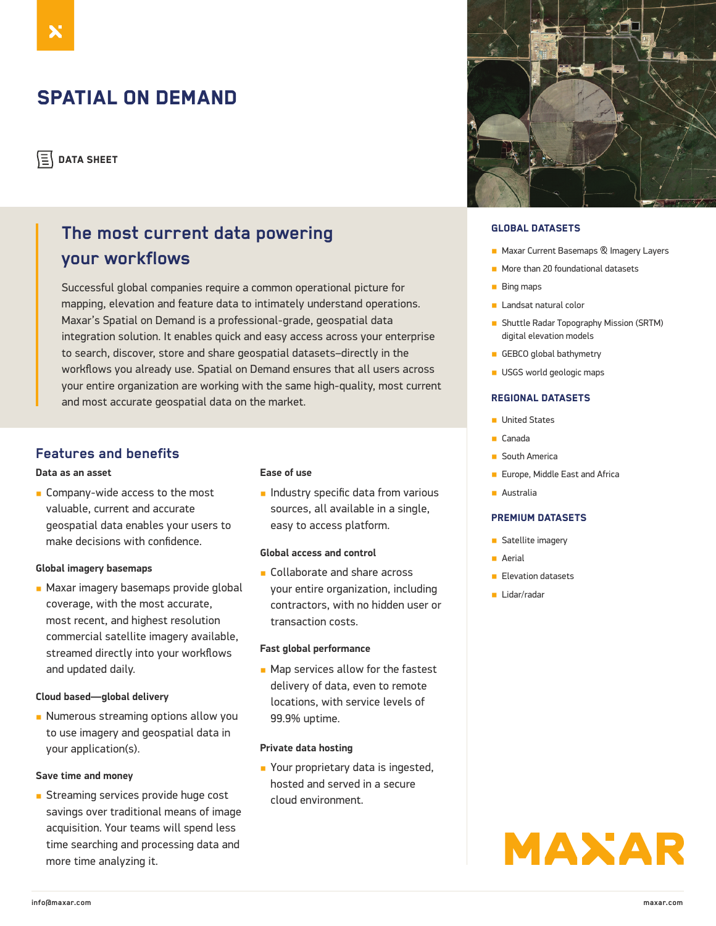# SPATIAL ON DEMAND

 $\left| \Xi \right|$  data sheet

# **The most current data powering your workflows**

Successful global companies require a common operational picture for mapping, elevation and feature data to intimately understand operations. Maxar's Spatial on Demand is a professional-grade, geospatial data integration solution. It enables quick and easy access across your enterprise to search, discover, store and share geospatial datasets–directly in the workflows you already use. Spatial on Demand ensures that all users across your entire organization are working with the same high-quality, most current and most accurate geospatial data on the market.

## **Features and benefits**

#### **Data as an asset**

■ Company-wide access to the most valuable, current and accurate geospatial data enables your users to make decisions with confidence.

#### **Global imagery basemaps**

■ Maxar imagery basemaps provide global coverage, with the most accurate, most recent, and highest resolution commercial satellite imagery available, streamed directly into your workflows and updated daily.

#### **Cloud based—global delivery**

■ Numerous streaming options allow you to use imagery and geospatial data in your application(s).

#### **Save time and money**

■ Streaming services provide huge cost savings over traditional means of image acquisition. Your teams will spend less time searching and processing data and more time analyzing it.

#### **Ease of use**

■ Industry specific data from various sources, all available in a single, easy to access platform.

#### **Global access and control**

■ Collaborate and share across your entire organization, including contractors, with no hidden user or transaction costs.

#### **Fast global performance**

■ Map services allow for the fastest delivery of data, even to remote locations, with service levels of 99.9% uptime.

#### **Private data hosting**

■ Your proprietary data is ingested, hosted and served in a secure cloud environment.



#### Global datasets

- Maxar Current Basemaps <sup>®</sup> Imagery Layers
- More than 20 foundational datasets
- Bing maps
- Landsat natural color
- Shuttle Radar Topography Mission (SRTM) digital elevation models
- GEBCO global bathymetry
- USGS world geologic maps

#### regional datasets

- United States
- Canada
- South America
- Europe, Middle East and Africa
- Australia

#### premium datasets

- Satellite imagery
- Aerial
- Elevation datasets
- Lidar/radar